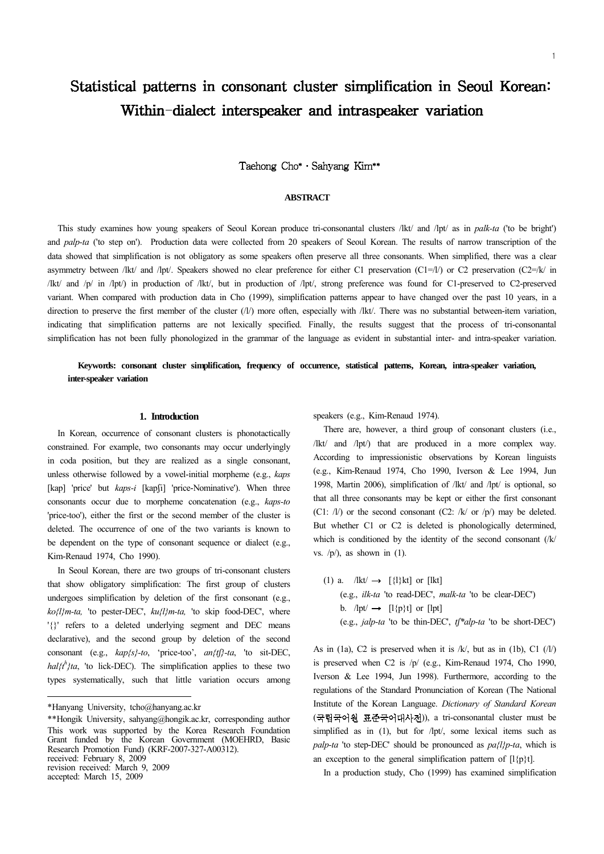# Statistical patterns in consonant cluster simplification in Seoul Korean: Within-dialect interspeaker and intraspeaker variation

Taehong Cho\* · Sahyang Kim\*\*

# **ABSTRACT**

This study examines how young speakers of Seoul Korean produce tri-consonantal clusters /lkt/ and /lpt/ as in *palk-ta* ('to be bright') and *palp-ta* ('to step on'). Production data were collected from 20 speakers of Seoul Korean. The results of narrow transcription of the data showed that simplification is not obligatory as some speakers often preserve all three consonants. When simplified, there was a clear asymmetry between /lkt/ and /lpt/. Speakers showed no clear preference for either C1 preservation (C1=/l/) or C2 preservation (C2=/k/ in /lkt/ and /p/ in /lpt/) in production of /lkt/, but in production of /lpt/, strong preference was found for C1-preserved to C2-preserved variant. When compared with production data in Cho (1999), simplification patterns appear to have changed over the past 10 years, in a direction to preserve the first member of the cluster (/l/) more often, especially with /lkt/. There was no substantial between-item variation, indicating that simplification patterns are not lexically specified. Finally, the results suggest that the process of tri-consonantal simplification has not been fully phonologized in the grammar of the language as evident in substantial inter- and intra-speaker variation.

# **Keywords: consonant cluster simplification, frequency of occurrence, statistical patterns, Korean, intra-speaker variation, inter-speaker variation**

# **1. Introduction**

In Korean, occurrence of consonant clusters is phonotactically constrained. For example, two consonants may occur underlyingly in coda position, but they are realized as a single consonant, unless otherwise followed by a vowel-initial morpheme (e.g., *kaps* [kap] 'price' but *kaps-i* [kapfi] 'price-Nominative'). When three consonants occur due to morpheme concatenation (e.g., *kaps-to* 'price-too'), either the first or the second member of the cluster is deleted. The occurrence of one of the two variants is known to be dependent on the type of consonant sequence or dialect (e.g., Kim-Renaud 1974, Cho 1990).

In Seoul Korean, there are two groups of tri-consonant clusters that show obligatory simplification: The first group of clusters undergoes simplification by deletion of the first consonant (e.g., *ko{l}m-ta,* 'to pester-DEC', *ku{l}m-ta,* 'to skip food-DEC', where '{}' refers to a deleted underlying segment and DEC means declarative), and the second group by deletion of the second consonant (e.g., *kap{s}-to*, 'price-too', *an{t}-ta*, 'to sit-DEC,  $hal\{t^h\}$ ta, 'to lick-DEC). The simplification applies to these two types systematically, such that little variation occurs among

accepted: March 15, 2009

speakers (e.g., Kim-Renaud 1974).

There are, however, a third group of consonant clusters (i.e., /lkt/ and /lpt/) that are produced in a more complex way. According to impressionistic observations by Korean linguists (e.g., Kim-Renaud 1974, Cho 1990, Iverson & Lee 1994, Jun 1998, Martin 2006), simplification of /lkt/ and /lpt/ is optional, so that all three consonants may be kept or either the first consonant (C1:  $\frac{1}{\sqrt{2}}$ ) or the second consonant (C2:  $\frac{1}{\sqrt{2}}$  or  $\frac{1}{\sqrt{2}}$ ) may be deleted. But whether C1 or C2 is deleted is phonologically determined, which is conditioned by the identity of the second consonant (/k/ vs.  $\langle p \rangle$ , as shown in (1).

(1) a.  $/$ lkt $/$   $\rightarrow$  [{l}kt] or [lkt] (e.g., *ilk-ta* 'to read-DEC', *malk-ta* 'to be clear-DEC') b.  $\mathsf{I}$ lpt $\mathsf{I}$   $\rightarrow$   $\lceil \mathsf{I} \{p\} \mathsf{t} \rceil$  or  $\lceil \mathsf{I} \text{pt} \rceil$ (e.g., *jalp-ta* 'to be thin-DEC', *t\*alp-ta* 'to be short-DEC')

As in (1a), C2 is preserved when it is  $/k$ , but as in (1b), C1 ( $/l$ ) is preserved when C2 is /p/ (e.g., Kim-Renaud 1974, Cho 1990, Iverson & Lee 1994, Jun 1998). Furthermore, according to the regulations of the Standard Pronunciation of Korean (The National Institute of the Korean Language. *Dictionary of Standard Korean* (국립국어원 표준국어대사전)), a tri-consonantal cluster must be simplified as in (1), but for /lpt/, some lexical items such as *palp-ta* 'to step-DEC' should be pronounced as *pa{l}p-ta*, which is an exception to the general simplification pattern of  $[1\{p\}t]$ .

In a production study, Cho (1999) has examined simplification

<sup>\*</sup>Hanyang University, tcho@hanyang.ac.kr

<sup>\*\*</sup>Hongik University, sahyang@hongik.ac.kr, corresponding author This work was supported by the Korea Research Foundation Grant funded by the Korean Government (MOEHRD, Basic Research Promotion Fund) (KRF-2007-327-A00312). received: February 8, 2009 revision received: March 9, 2009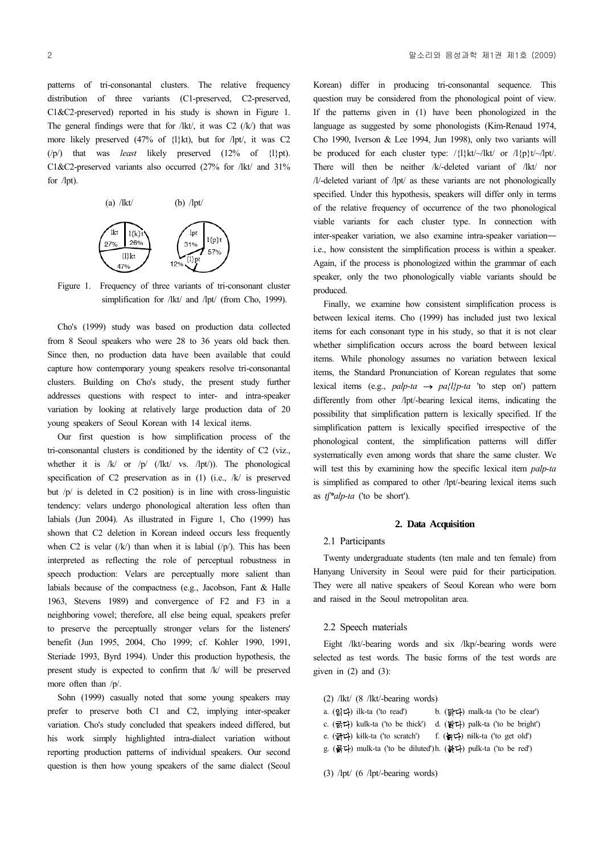patterns of tri-consonantal clusters. The relative frequency distribution of three variants (C1-preserved, C2-preserved, C1&C2-preserved) reported in his study is shown in Figure 1. The general findings were that for /lkt/, it was  $C2$  (/k/) that was more likely preserved (47% of {l}kt), but for /lpt/, it was C2 (/p/) that was *least* likely preserved (12% of {l}pt). C1&C2-preserved variants also occurred (27% for /lkt/ and 31% for /lpt).



Figure 1. Frequency of three variants of tri-consonant cluster simplification for /lkt/ and /lpt/ (from Cho, 1999).

Cho's (1999) study was based on production data collected from 8 Seoul speakers who were 28 to 36 years old back then. Since then, no production data have been available that could capture how contemporary young speakers resolve tri-consonantal clusters. Building on Cho's study, the present study further addresses questions with respect to inter- and intra-speaker variation by looking at relatively large production data of 20 young speakers of Seoul Korean with 14 lexical items.

Our first question is how simplification process of the tri-consonantal clusters is conditioned by the identity of C2 (viz., whether it is  $/k/$  or  $/p/$  (/lkt/ vs. /lpt/)). The phonological specification of C2 preservation as in (1) (i.e., /k/ is preserved but /p/ is deleted in C2 position) is in line with cross-linguistic tendency: velars undergo phonological alteration less often than labials (Jun 2004). As illustrated in Figure 1, Cho (1999) has shown that C2 deletion in Korean indeed occurs less frequently when C2 is velar  $(\sqrt{k})$  than when it is labial  $(\sqrt{p})$ . This has been interpreted as reflecting the role of perceptual robustness in speech production: Velars are perceptually more salient than labials because of the compactness (e.g., Jacobson, Fant & Halle 1963, Stevens 1989) and convergence of F2 and F3 in a neighboring vowel; therefore, all else being equal, speakers prefer to preserve the perceptually stronger velars for the listeners' benefit (Jun 1995, 2004, Cho 1999; cf. Kohler 1990, 1991, Steriade 1993, Byrd 1994). Under this production hypothesis, the present study is expected to confirm that /k/ will be preserved more often than /p/.

Sohn (1999) casually noted that some young speakers may prefer to preserve both C1 and C2, implying inter-speaker variation. Cho's study concluded that speakers indeed differed, but his work simply highlighted intra-dialect variation without reporting production patterns of individual speakers. Our second question is then how young speakers of the same dialect (Seoul

Korean) differ in producing tri-consonantal sequence. This question may be considered from the phonological point of view. If the patterns given in (1) have been phonologized in the language as suggested by some phonologists (Kim-Renaud 1974, Cho 1990, Iverson & Lee 1994, Jun 1998), only two variants will be produced for each cluster type:  $/\{\}kt/\sim\}$ kt/ or  $/\{p\}t/\sim\}$ lpt/. There will then be neither /k/-deleted variant of /lkt/ nor /l/-deleted variant of /lpt/ as these variants are not phonologically specified. Under this hypothesis, speakers will differ only in terms of the relative frequency of occurrence of the two phonological viable variants for each cluster type. In connection with inter-speaker variation, we also examine intra-speaker variation i.e., how consistent the simplification process is within a speaker. Again, if the process is phonologized within the grammar of each speaker, only the two phonologically viable variants should be produced.

Finally, we examine how consistent simplification process is between lexical items. Cho (1999) has included just two lexical items for each consonant type in his study, so that it is not clear whether simplification occurs across the board between lexical items. While phonology assumes no variation between lexical items, the Standard Pronunciation of Korean regulates that some lexical items (e.g., *palp-ta*  $\rightarrow$  *pa{l}p-ta* 'to step on') pattern differently from other /lpt/-bearing lexical items, indicating the possibility that simplification pattern is lexically specified. If the simplification pattern is lexically specified irrespective of the phonological content, the simplification patterns will differ systematically even among words that share the same cluster. We will test this by examining how the specific lexical item *palp-ta* is simplified as compared to other /lpt/-bearing lexical items such as *t\*alp-ta* ('to be short').

#### **2. Data Acquisition**

# 2.1 Participants

Twenty undergraduate students (ten male and ten female) from Hanyang University in Seoul were paid for their participation. They were all native speakers of Seoul Korean who were born and raised in the Seoul metropolitan area.

## 2.2 Speech materials

Eight /lkt/-bearing words and six /lkp/-bearing words were selected as test words. The basic forms of the test words are given in  $(2)$  and  $(3)$ :

- (2) /lkt/ (8 /lkt/-bearing words)
- a.  $(3|\mathbf{L})$  ilk-ta ('to read') b.  $(\mathbf{H}\mathbf{L})$  malk-ta ('to be clear')
- c. (굵다) kulk-ta ('to be thick') d. (밝다) palk-ta ('to be bright')
- e. (긁다) kilk-ta ('to scratch') f. (늙다) nilk-ta ('to get old')
- g. (묽다) mulk-ta ('to be diluted')h. (붉다) pulk-ta ('to be red')

(3) /lpt/ (6 /lpt/-bearing words)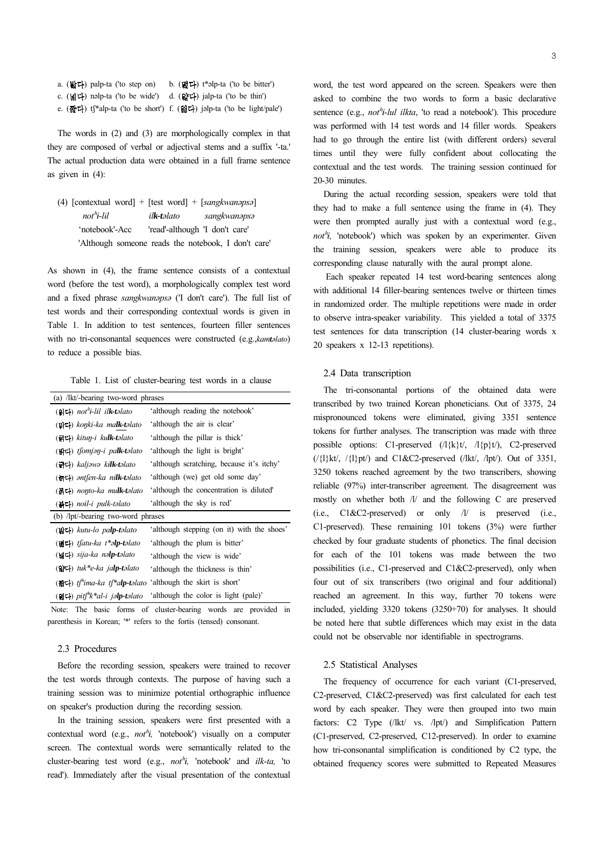| a. $(\&$ 다) palp-ta ('to step on)                                                                                               | b. $(\mathbf{B} \mathbf{L})$ t*alp-ta ('to be bitter')                 |
|---------------------------------------------------------------------------------------------------------------------------------|------------------------------------------------------------------------|
| c. $(\underline{\mathbf{sl}}\mathbf{u})$ nalp-ta ('to be wide') d. $(\underline{\mathbf{sl}}\mathbf{u})$ jalp-ta ('to be thin') |                                                                        |
|                                                                                                                                 | e. (짧다) tf*alp-ta ('to be short') f. (엷다) jalp-ta ('to be light/pale') |

The words in (2) and (3) are morphologically complex in that they are composed of verbal or adjectival stems and a suffix '-ta.' The actual production data were obtained in a full frame sentence as given in (4):

| (4) [contextual word] + [test word] + [sangkwanapsa] |                                |                                                    |
|------------------------------------------------------|--------------------------------|----------------------------------------------------|
| $not$ <sup>h</sup> i-lil                             | il <b>k-t</b> əlato            | sangkwanapsa                                       |
| 'notebook'-Acc                                       | 'read'-although 'I don't care' |                                                    |
|                                                      |                                | 'Although someone reads the notebook, I don't care |

As shown in (4), the frame sentence consists of a contextual word (before the test word), a morphologically complex test word and a fixed phrase *sangkwanəpsə* ('I don't care'). The full list of test words and their corresponding contextual words is given in Table 1. In addition to test sentences, fourteen filler sentences with no tri-consonantal sequences were constructed (e.g.,*kamtəlato*) to reduce a possible bias.

Table 1. List of cluster-bearing test words in a clause

| (a) /lkt/-bearing two-word phrases                                                                         |  |                                            |  |
|------------------------------------------------------------------------------------------------------------|--|--------------------------------------------|--|
| (읽다) not"i-lil ilk-təlato                                                                                  |  | 'although reading the notebook'            |  |
| (맑다) konki-ka malk-təlato                                                                                  |  | 'although the air is clear'                |  |
| (굵다) kituŋ-i kulk-təlato                                                                                   |  | 'although the pillar is thick'             |  |
| (밝다) tfomjəŋ-i pa <b>lk-t</b> əlato                                                                        |  | 'although the light is bright'             |  |
| (긁다) <i>kaljəwə k<b>ilk-t</b>əlato</i>                                                                     |  | 'although scratching, because it's itchy'  |  |
| (늙다) antfen-ka nilk-talato                                                                                 |  | 'although (we) get old some day'           |  |
| (묽다) nonto-ka mu <b>lk-t</b> əlato                                                                         |  | although the concentration is diluted      |  |
| (블디) noil-i pulk-təlato                                                                                    |  | 'although the sky is red'                  |  |
| (b) /lpt/-bearing two-word phrases                                                                         |  |                                            |  |
| (밟다) kutu-lo pa <b>lp-t</b> əlato                                                                          |  | 'although stepping (on it) with the shoes' |  |
| (떫다) tfatu-ka t*ə <b>lp-t</b> əlato                                                                        |  | 'although the plum is bitter'              |  |
| (넓다) sija-ka nə <b>lp-t</b> əlato                                                                          |  | 'although the view is wide'                |  |
| (얇다) tuk*e-ka ja <b>lp-t</b> əlato                                                                         |  | 'although the thickness is thin'           |  |
| ( $\mathbf{A}$ ) $t$ <sup>n</sup> ima-ka $t$ <sup>*</sup> alp-t <i>alato</i> 'although the skirt is short' |  |                                            |  |
| (엷다) pitf"k*al-i jə <b>lp-t</b> əlato                                                                      |  | 'although the color is light (pale)'       |  |

 Note: The basic forms of cluster-bearing words are provided in parenthesis in Korean; '\*' refers to the fortis (tensed) consonant.

# 2.3 Procedures

Before the recording session, speakers were trained to recover the test words through contexts. The purpose of having such a training session was to minimize potential orthographic influence on speaker's production during the recording session.

In the training session, speakers were first presented with a contextual word (e.g.,  $not^h$ *i*, 'notebook') visually on a computer screen. The contextual words were semantically related to the cluster-bearing test word (e.g., *not*<sup>*h*</sup>*i*, 'notebook' and *ilk-ta*, 'to read'). Immediately after the visual presentation of the contextual

word, the test word appeared on the screen. Speakers were then asked to combine the two words to form a basic declarative sentence (e.g., *not*<sup>h</sup>i-lul ilkta, 'to read a notebook'). This procedure was performed with 14 test words and 14 filler words. Speakers had to go through the entire list (with different orders) several times until they were fully confident about collocating the contextual and the test words. The training session continued for 20-30 minutes.

During the actual recording session, speakers were told that they had to make a full sentence using the frame in (4). They were then prompted aurally just with a contextual word (e.g.,  $not^h$ *i*, 'notebook') which was spoken by an experimenter. Given the training session, speakers were able to produce its corresponding clause naturally with the aural prompt alone.

 Each speaker repeated 14 test word-bearing sentences along with additional 14 filler-bearing sentences twelve or thirteen times in randomized order. The multiple repetitions were made in order to observe intra-speaker variability. This yielded a total of 3375 test sentences for data transcription (14 cluster-bearing words x 20 speakers x 12-13 repetitions).

# 2.4 Data transcription

The tri-consonantal portions of the obtained data were transcribed by two trained Korean phoneticians. Out of 3375, 24 mispronounced tokens were eliminated, giving 3351 sentence tokens for further analyses. The transcription was made with three possible options: C1-preserved  $(1\{k\}t, 1\{p\}t)$ , C2-preserved  $(\frac{1}{k}kt\frac{1}{k}pt\frac{1}{k}pt\frac{1}{k}gt\frac{1}{k}$  and C1&C2-preserved  $(\frac{1}{k}kt\frac{1}{k}pt\frac{1}{k}pt\frac{1}{k}gt\frac{1}{k}$ . Out of 3351, 3250 tokens reached agreement by the two transcribers, showing reliable (97%) inter-transcriber agreement. The disagreement was mostly on whether both /l/ and the following C are preserved (i.e., C1&C2-preserved) or only /l/ is preserved (i.e., C1-preserved). These remaining 101 tokens (3%) were further checked by four graduate students of phonetics. The final decision for each of the 101 tokens was made between the two possibilities (i.e., C1-preserved and C1&C2-preserved), only when four out of six transcribers (two original and four additional) reached an agreement. In this way, further 70 tokens were included, yielding 3320 tokens (3250+70) for analyses. It should be noted here that subtle differences which may exist in the data could not be observable nor identifiable in spectrograms.

#### 2.5 Statistical Analyses

The frequency of occurrence for each variant (C1-preserved, C2-preserved, C1&C2-preserved) was first calculated for each test word by each speaker. They were then grouped into two main factors: C2 Type (/lkt/ vs. /lpt/) and Simplification Pattern (C1-preserved, C2-preserved, C12-preserved). In order to examine how tri-consonantal simplification is conditioned by C2 type, the obtained frequency scores were submitted to Repeated Measures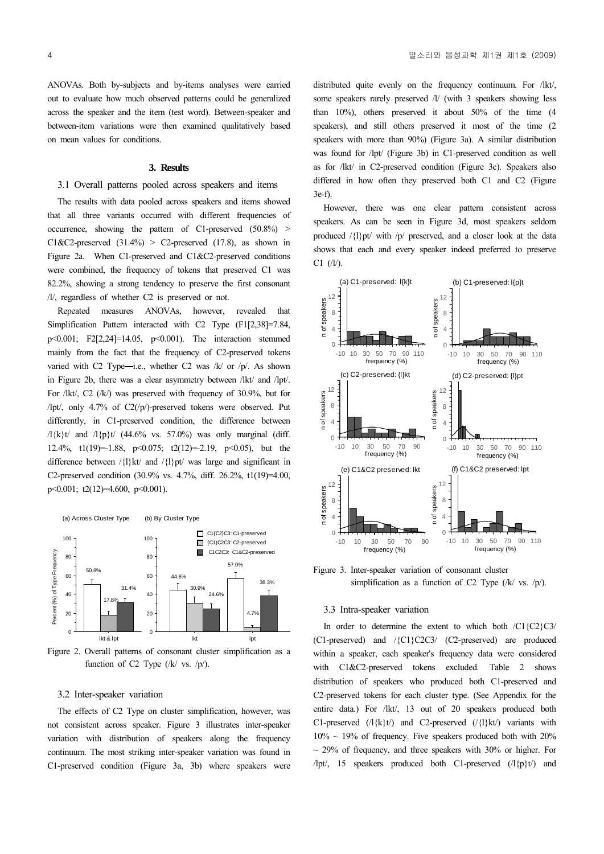ANOVAs. Both by-subjects and by-items analyses were carried out to evaluate how much observed patterns could be generalized across the speaker and the item (test word). Between-speaker and between-item variations were then examined qualitatively based on mean values for conditions.

#### **3. Results**

# 3.1 Overall patterns pooled across speakers and items

The results with data pooled across speakers and items showed that all three variants occurred with different frequencies of occurrence, showing the pattern of C1-preserved (50.8%) > C1&C2-preserved  $(31.4\%)$  > C2-preserved  $(17.8)$ , as shown in Figure 2a. When C1-preserved and C1&C2-preserved conditions were combined, the frequency of tokens that preserved C1 was 82.2%, showing a strong tendency to preserve the first consonant /l/, regardless of whether C2 is preserved or not.

Repeated measures ANOVAs, however, revealed that Simplification Pattern interacted with C2 Type (F1[2,38]=7.84, p<0.001; F2[2,24]=14.05, p<0.001). The interaction stemmed mainly from the fact that the frequency of C2-preserved tokens varied with C2 Type-i.e., whether C2 was  $/k/$  or  $/p/$ . As shown in Figure 2b, there was a clear asymmetry between /lkt/ and /lpt/. For /lkt/, C2 (/k/) was preserved with frequency of 30.9%, but for /lpt/, only 4.7% of C2(/p/)-preserved tokens were observed. Put differently, in C1-preserved condition, the difference between  $\frac{1}{k}$ t/ and  $\frac{1}{p}$ t/ (44.6% vs. 57.0%) was only marginal (diff. 12.4%, t1(19)=-1.88, p<0.075; t2(12)=-2.19, p<0.05), but the difference between  $/\{l\}$ kt/ and  $/\{l\}$ pt/ was large and significant in C2-preserved condition (30.9% vs. 4.7%, diff. 26.2%, t1(19)=4.00, p<0.001; t2(12)=4.600, p<0.001).



Figure 2. Overall patterns of consonant cluster simplification as a function of C2 Type  $(|k|$  vs.  $|p\rangle$ ).

# 3.2 Inter-speaker variation

The effects of C2 Type on cluster simplification, however, was not consistent across speaker. Figure 3 illustrates inter-speaker variation with distribution of speakers along the frequency continuum. The most striking inter-speaker variation was found in C1-preserved condition (Figure 3a, 3b) where speakers were distributed quite evenly on the frequency continuum. For /lkt/, some speakers rarely preserved /l/ (with 3 speakers showing less than 10%), others preserved it about 50% of the time (4 speakers), and still others preserved it most of the time (2) speakers with more than 90%) (Figure 3a). A similar distribution was found for /lpt/ (Figure 3b) in C1-preserved condition as well as for /lkt/ in C2-preserved condition (Figure 3c). Speakers also differed in how often they preserved both C1 and C2 (Figure 3e-f).

However, there was one clear pattern consistent across speakers. As can be seen in Figure 3d, most speakers seldom produced /{l}pt/ with /p/ preserved, and a closer look at the data shows that each and every speaker indeed preferred to preserve  $C1$  (/l/).



Figure 3. Inter-speaker variation of consonant cluster simplification as a function of C2 Type  $(\frac{1}{k} \text{ vs. } \frac{1}{p})$ .

## 3.3 Intra-speaker variation

In order to determine the extent to which both  $\overline{C1}$ {C2}C3/ (C1-preserved) and /{C1}C2C3/ (C2-preserved) are produced within a speaker, each speaker's frequency data were considered with C1&C2-preserved tokens excluded. Table 2 shows distribution of speakers who produced both C1-preserved and C2-preserved tokens for each cluster type. (See Appendix for the entire data.) For /lkt/, 13 out of 20 speakers produced both C1-preserved  $(1\{k\}t)$  and C2-preserved  $(1\{l\}kt)$  variants with  $10\% \sim 19\%$  of frequency. Five speakers produced both with  $20\%$  $\sim$  29% of frequency, and three speakers with 30% or higher. For /lpt/, 15 speakers produced both C1-preserved  $(1\{p\}t)$  and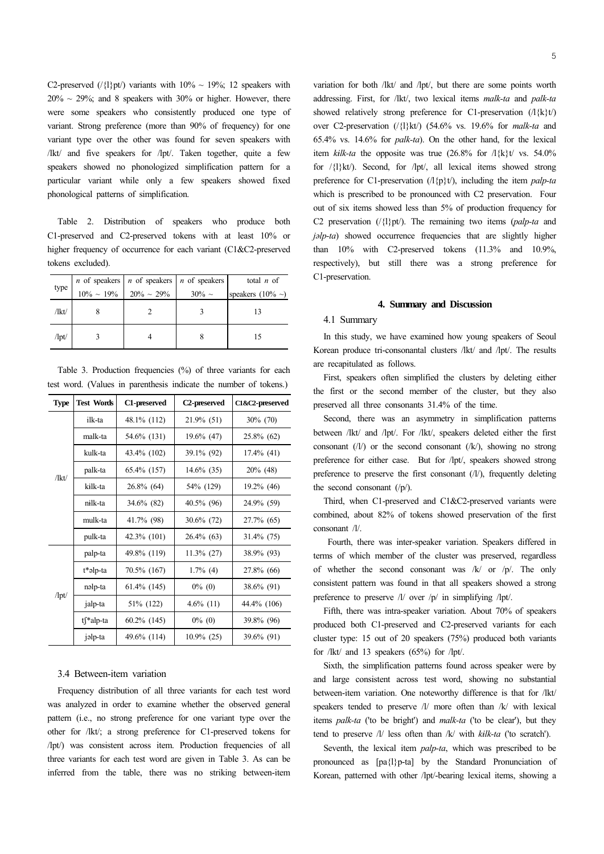C2-preserved (/ $\{1\}$ pt/) variants with  $10\% \sim 19\%$ ; 12 speakers with  $20\% \sim 29\%$ ; and 8 speakers with 30% or higher. However, there were some speakers who consistently produced one type of variant. Strong preference (more than 90% of frequency) for one variant type over the other was found for seven speakers with /lkt/ and five speakers for /lpt/. Taken together, quite a few speakers showed no phonologized simplification pattern for a particular variant while only a few speakers showed fixed phonological patterns of simplification.

Table 2. Distribution of speakers who produce both C1-preserved and C2-preserved tokens with at least 10% or higher frequency of occurrence for each variant (C1&C2-preserved tokens excluded).

|       | <i>n</i> of speakers <i>n</i> of speakers <i>n</i> of speakers 10% ~ 19% 20% ~ 29% 30% ~ | total $n$ of           |
|-------|------------------------------------------------------------------------------------------|------------------------|
| type  |                                                                                          | speakers $(10\% \sim)$ |
| /lkt/ |                                                                                          |                        |
| $\pi$ |                                                                                          |                        |

Table 3. Production frequencies (%) of three variants for each test word. (Values in parenthesis indicate the number of tokens.)

| <b>Type</b> | <b>Test Words</b> | C1-preserved | C <sub>2</sub> -preserved | C1&C2-preserved |
|-------------|-------------------|--------------|---------------------------|-----------------|
| /lkt/       | ilk-ta            | 48.1% (112)  | $21.9\%$ (51)             | $30\%$ (70)     |
|             | malk-ta           | 54.6% (131)  | 19.6% (47)                | $25.8\%$ (62)   |
|             | kulk-ta           | 43.4% (102)  | 39.1% (92)                | $17.4\%$ (41)   |
|             | palk-ta           | 65.4% (157)  | $14.6\%$ (35)             | $20\%$ (48)     |
|             | kilk-ta           | 26.8% (64)   | 54% (129)                 | 19.2% (46)      |
|             | nilk-ta           | 34.6% (82)   | 40.5% (96)                | 24.9% (59)      |
|             | mulk-ta           | 41.7% (98)   | $30.6\%$ (72)             | 27.7% (65)      |
|             | pulk-ta           | 42.3% (101)  | $26.4\%$ (63)             | $31.4\%$ (75)   |
| $\pi$       | palp-ta           | 49.8% (119)  | $11.3\%$ (27)             | 38.9% (93)      |
|             | t*əlp-ta          | 70.5% (167)  | $1.7\%$ (4)               | 27.8% (66)      |
|             | nəlp-ta           | 61.4% (145)  | $0\%$ (0)                 | 38.6% (91)      |
|             | jalp-ta           | 51\% (122)   | $4.6\%$ (11)              | 44.4% (106)     |
|             | tf*alp-ta         | 60.2% (145)  | $0\%$ (0)                 | 39.8% (96)      |
|             | jalp-ta           | 49.6% (114)  | $10.9\%$ (25)             | 39.6% (91)      |

## 3.4 Between-item variation

Frequency distribution of all three variants for each test word was analyzed in order to examine whether the observed general pattern (i.e., no strong preference for one variant type over the other for /lkt/; a strong preference for C1-preserved tokens for /lpt/) was consistent across item. Production frequencies of all three variants for each test word are given in Table 3. As can be inferred from the table, there was no striking between-item

variation for both /lkt/ and /lpt/, but there are some points worth addressing. First, for /lkt/, two lexical items *malk-ta* and *palk-ta* showed relatively strong preference for C1-preservation  $(1\{k\}t)$ over C2-preservation (/{l}kt/) (54.6% vs. 19.6% for *malk-ta* and 65.4% vs. 14.6% for *palk-ta*). On the other hand, for the lexical item  $k$ *ilk-ta* the opposite was true  $(26.8\%$  for  $/|\{k\}t|$  vs. 54.0% for /{l}kt/). Second, for /lpt/, all lexical items showed strong preference for C1-preservation (/l{p}t/), including the item *palp-ta*  which is prescribed to be pronounced with C2 preservation. Four out of six items showed less than 5% of production frequency for C2 preservation (/{l}pt/). The remaining two items (*palp-ta* and *jəlp-ta*) showed occurrence frequencies that are slightly higher than 10% with C2-preserved tokens (11.3% and 10.9%, respectively), but still there was a strong preference for C1-preservation.

# **4. Summary and Discussion**

# 4.1 Summary

In this study, we have examined how young speakers of Seoul Korean produce tri-consonantal clusters /lkt/ and /lpt/. The results are recapitulated as follows.

First, speakers often simplified the clusters by deleting either the first or the second member of the cluster, but they also preserved all three consonants 31.4% of the time.

Second, there was an asymmetry in simplification patterns between /lkt/ and /lpt/. For /lkt/, speakers deleted either the first consonant  $(1)$  or the second consonant  $(1)$ , showing no strong preference for either case. But for /lpt/, speakers showed strong preference to preserve the first consonant  $(1/2)$ , frequently deleting the second consonant  $($ /p $/$ ).

Third, when C1-preserved and C1&C2-preserved variants were combined, about 82% of tokens showed preservation of the first consonant /l/.

 Fourth, there was inter-speaker variation. Speakers differed in terms of which member of the cluster was preserved, regardless of whether the second consonant was /k/ or /p/. The only consistent pattern was found in that all speakers showed a strong preference to preserve /l/ over /p/ in simplifying /lpt/.

Fifth, there was intra-speaker variation. About 70% of speakers produced both C1-preserved and C2-preserved variants for each cluster type: 15 out of 20 speakers (75%) produced both variants for /lkt/ and 13 speakers (65%) for /lpt/.

Sixth, the simplification patterns found across speaker were by and large consistent across test word, showing no substantial between-item variation. One noteworthy difference is that for /lkt/ speakers tended to preserve /l/ more often than /k/ with lexical items *palk-ta* ('to be bright') and *malk-ta* ('to be clear'), but they tend to preserve /l/ less often than /k/ with *klk-ta* ('to scratch').

Seventh, the lexical item *palp-ta*, which was prescribed to be pronounced as [pa{l}p-ta] by the Standard Pronunciation of Korean, patterned with other /lpt/-bearing lexical items, showing a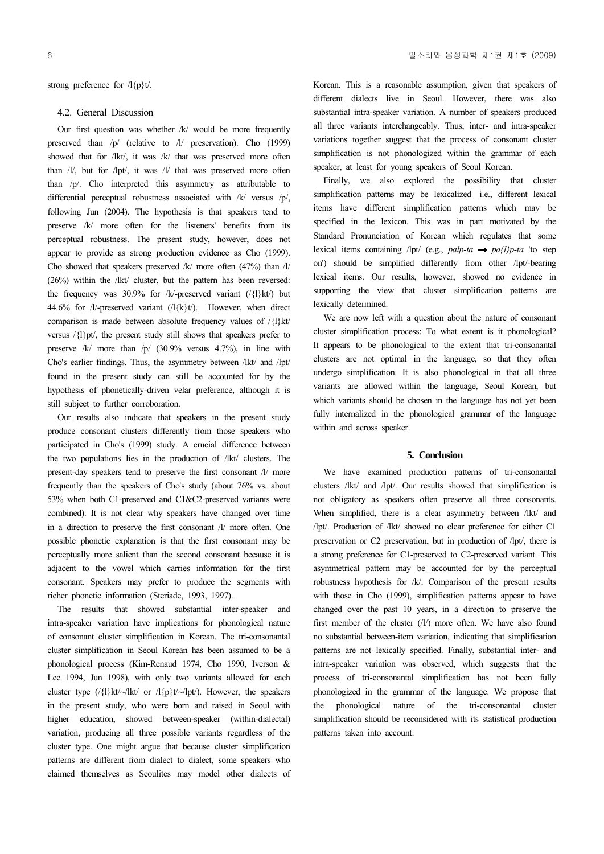strong preference for  $\Lambda$ {p}t/.

## 4.2. General Discussion

Our first question was whether  $/k/$  would be more frequently preserved than /p/ (relative to /l/ preservation). Cho (1999) showed that for /lkt/, it was /k/ that was preserved more often than /l/, but for /lpt/, it was /l/ that was preserved more often than /p/. Cho interpreted this asymmetry as attributable to differential perceptual robustness associated with /k/ versus /p/, following Jun (2004). The hypothesis is that speakers tend to preserve /k/ more often for the listeners' benefits from its perceptual robustness. The present study, however, does not appear to provide as strong production evidence as Cho (1999). Cho showed that speakers preserved  $/k$  more often (47%) than  $1/$ (26%) within the /lkt/ cluster, but the pattern has been reversed: the frequency was 30.9% for /k/-preserved variant  $(\frac{1}{1}kt)$  but 44.6% for  $/l$ -preserved variant  $(l\{k\}t)$ . However, when direct comparison is made between absolute frequency values of /{l}kt/ versus  $\langle \{1\}$ pt $\langle \rangle$ , the present study still shows that speakers prefer to preserve /k/ more than /p/ (30.9% versus 4.7%), in line with Cho's earlier findings. Thus, the asymmetry between /lkt/ and /lpt/ found in the present study can still be accounted for by the hypothesis of phonetically-driven velar preference, although it is still subject to further corroboration.

Our results also indicate that speakers in the present study produce consonant clusters differently from those speakers who participated in Cho's (1999) study. A crucial difference between the two populations lies in the production of /lkt/ clusters. The present-day speakers tend to preserve the first consonant /l/ more frequently than the speakers of Cho's study (about 76% vs. about 53% when both C1-preserved and C1&C2-preserved variants were combined). It is not clear why speakers have changed over time in a direction to preserve the first consonant /l/ more often. One possible phonetic explanation is that the first consonant may be perceptually more salient than the second consonant because it is adjacent to the vowel which carries information for the first consonant. Speakers may prefer to produce the segments with richer phonetic information (Steriade, 1993, 1997).

The results that showed substantial inter-speaker and intra-speaker variation have implications for phonological nature of consonant cluster simplification in Korean. The tri-consonantal cluster simplification in Seoul Korean has been assumed to be a phonological process (Kim-Renaud 1974, Cho 1990, Iverson & Lee 1994, Jun 1998), with only two variants allowed for each cluster type  $(\frac{1}{k}kt/\frac{1}{k}t)$  or  $\frac{1}{p}t/\frac{1}{p}t$ . However, the speakers in the present study, who were born and raised in Seoul with higher education, showed between-speaker (within-dialectal) variation, producing all three possible variants regardless of the cluster type. One might argue that because cluster simplification patterns are different from dialect to dialect, some speakers who claimed themselves as Seoulites may model other dialects of Korean. This is a reasonable assumption, given that speakers of different dialects live in Seoul. However, there was also substantial intra-speaker variation. A number of speakers produced all three variants interchangeably. Thus, inter- and intra-speaker variations together suggest that the process of consonant cluster simplification is not phonologized within the grammar of each speaker, at least for young speakers of Seoul Korean.

Finally, we also explored the possibility that cluster simplification patterns may be lexicalized-i.e., different lexical items have different simplification patterns which may be specified in the lexicon. This was in part motivated by the Standard Pronunciation of Korean which regulates that some lexical items containing /lpt/ (e.g., *palp-ta*  $\rightarrow$  *pa{l}p-ta* 'to step on') should be simplified differently from other /lpt/-bearing lexical items. Our results, however, showed no evidence in supporting the view that cluster simplification patterns are lexically determined.

We are now left with a question about the nature of consonant cluster simplification process: To what extent is it phonological? It appears to be phonological to the extent that tri-consonantal clusters are not optimal in the language, so that they often undergo simplification. It is also phonological in that all three variants are allowed within the language, Seoul Korean, but which variants should be chosen in the language has not yet been fully internalized in the phonological grammar of the language within and across speaker.

#### **5. Conclusion**

We have examined production patterns of tri-consonantal clusters /lkt/ and /lpt/. Our results showed that simplification is not obligatory as speakers often preserve all three consonants. When simplified, there is a clear asymmetry between /lkt/ and /lpt/. Production of /lkt/ showed no clear preference for either C1 preservation or C2 preservation, but in production of /lpt/, there is a strong preference for C1-preserved to C2-preserved variant. This asymmetrical pattern may be accounted for by the perceptual robustness hypothesis for /k/. Comparison of the present results with those in Cho (1999), simplification patterns appear to have changed over the past 10 years, in a direction to preserve the first member of the cluster  $(1/1)$  more often. We have also found no substantial between-item variation, indicating that simplification patterns are not lexically specified. Finally, substantial inter- and intra-speaker variation was observed, which suggests that the process of tri-consonantal simplification has not been fully phonologized in the grammar of the language. We propose that the phonological nature of the tri-consonantal cluster simplification should be reconsidered with its statistical production patterns taken into account.